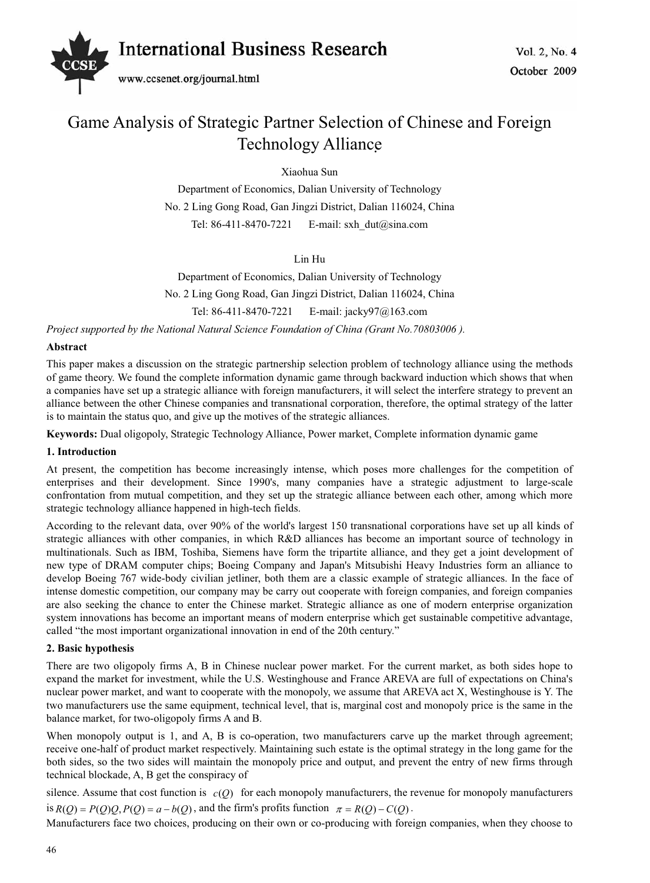

# Game Analysis of Strategic Partner Selection of Chinese and Foreign Technology Alliance

Xiaohua Sun

Department of Economics, Dalian University of Technology No. 2 Ling Gong Road, Gan Jingzi District, Dalian 116024, China Tel: 86-411-8470-7221 E-mail: sxh\_dut@sina.com

Lin Hu

Department of Economics, Dalian University of Technology No. 2 Ling Gong Road, Gan Jingzi District, Dalian 116024, China Tel: 86-411-8470-7221 E-mail: jacky97@163.com

*Project supported by the National Natural Science Foundation of China (Grant No.70803006 ).* 

## **Abstract**

This paper makes a discussion on the strategic partnership selection problem of technology alliance using the methods of game theory. We found the complete information dynamic game through backward induction which shows that when a companies have set up a strategic alliance with foreign manufacturers, it will select the interfere strategy to prevent an alliance between the other Chinese companies and transnational corporation, therefore, the optimal strategy of the latter is to maintain the status quo, and give up the motives of the strategic alliances.

**Keywords:** Dual oligopoly, Strategic Technology Alliance, Power market, Complete information dynamic game

## **1. Introduction**

At present, the competition has become increasingly intense, which poses more challenges for the competition of enterprises and their development. Since 1990's, many companies have a strategic adjustment to large-scale confrontation from mutual competition, and they set up the strategic alliance between each other, among which more strategic technology alliance happened in high-tech fields.

According to the relevant data, over 90% of the world's largest 150 transnational corporations have set up all kinds of strategic alliances with other companies, in which R&D alliances has become an important source of technology in multinationals. Such as IBM, Toshiba, Siemens have form the tripartite alliance, and they get a joint development of new type of DRAM computer chips; Boeing Company and Japan's Mitsubishi Heavy Industries form an alliance to develop Boeing 767 wide-body civilian jetliner, both them are a classic example of strategic alliances. In the face of intense domestic competition, our company may be carry out cooperate with foreign companies, and foreign companies are also seeking the chance to enter the Chinese market. Strategic alliance as one of modern enterprise organization system innovations has become an important means of modern enterprise which get sustainable competitive advantage, called "the most important organizational innovation in end of the 20th century."

## **2. Basic hypothesis**

There are two oligopoly firms A, B in Chinese nuclear power market. For the current market, as both sides hope to expand the market for investment, while the U.S. Westinghouse and France AREVA are full of expectations on China's nuclear power market, and want to cooperate with the monopoly, we assume that AREVA act X, Westinghouse is Y. The two manufacturers use the same equipment, technical level, that is, marginal cost and monopoly price is the same in the balance market, for two-oligopoly firms A and B.

When monopoly output is 1, and A, B is co-operation, two manufacturers carve up the market through agreement; receive one-half of product market respectively. Maintaining such estate is the optimal strategy in the long game for the both sides, so the two sides will maintain the monopoly price and output, and prevent the entry of new firms through technical blockade, A, B get the conspiracy of

silence. Assume that cost function is  $c(O)$  for each monopoly manufacturers, the revenue for monopoly manufacturers is  $R(O) = P(O)O, P(O) = a - b(O)$ , and the firm's profits function  $\pi = R(O) - C(O)$ .

Manufacturers face two choices, producing on their own or co-producing with foreign companies, when they choose to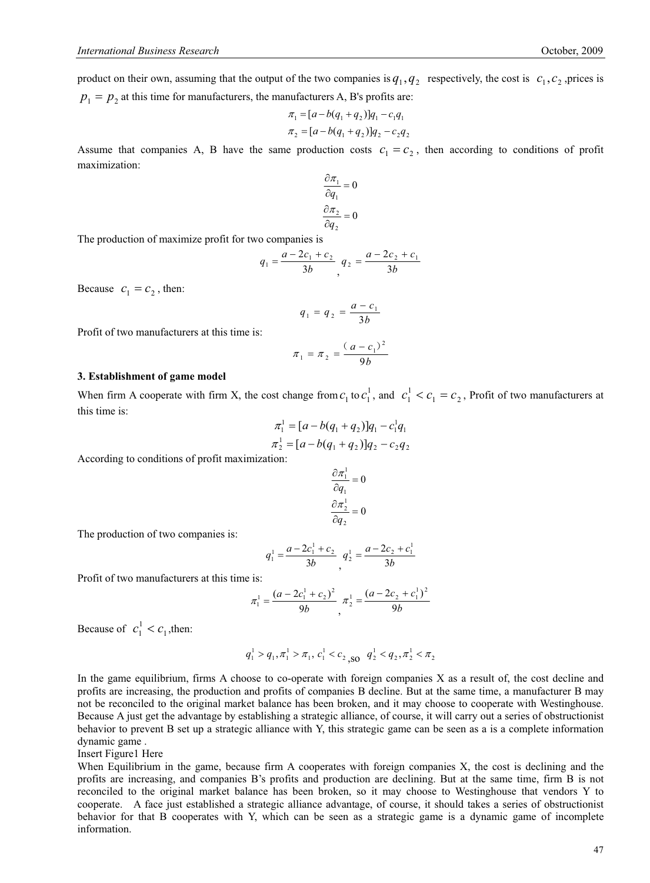product on their own, assuming that the output of the two companies is  $q_1, q_2$  respectively, the cost is  $c_1, c_2$ , prices is  $p_1 = p_2$  at this time for manufacturers, the manufacturers A, B's profits are:

$$
\pi_1 = [a - b(q_1 + q_2)]q_1 - c_1q_1
$$
  
\n
$$
\pi_2 = [a - b(q_1 + q_2)]q_2 - c_2q_2
$$

Assume that companies A, B have the same production costs  $c_1 = c_2$ , then according to conditions of profit maximization:

$$
\frac{\partial \pi_1}{\partial q_1} = 0
$$

$$
\frac{\partial \pi_2}{\partial q_2} = 0
$$

The production of maximize profit for two companies is

$$
q_1 = \frac{a - 2c_1 + c_2}{3b}, q_2 = \frac{a - 2c_2 + c_1}{3b}
$$

Because  $c_1 = c_2$ , then:

$$
q_1 = q_2 = \frac{a - c_1}{3b}
$$

Profit of two manufacturers at this time is:

$$
\pi_1 = \pi_2 = \frac{(a - c_1)^2}{9b}
$$

#### **3. Establishment of game model**

When firm A cooperate with firm X, the cost change from  $c_1$  to  $c_1^1$ , and  $c_1^1 < c_1 = c_2$ , Profit of two manufacturers at this time is:

$$
\pi_1^1 = [a - b(q_1 + q_2)]q_1 - c_1^1 q_1
$$
  
\n
$$
\pi_2^1 = [a - b(q_1 + q_2)]q_2 - c_2 q_2
$$

According to conditions of profit maximization:

$$
\frac{\partial \pi_1^1}{\partial q_1} = 0
$$

$$
\frac{\partial \pi_2^1}{\partial q_2} = 0
$$

The production of two companies is:

$$
q_1^1 = \frac{a - 2c_1^1 + c_2}{3b}, \quad\n q_2^1 = \frac{a - 2c_2 + c_1^1}{3b}
$$

Profit of two manufacturers at this time is:

$$
\pi_1^1 = \frac{(a - 2c_1^1 + c_2)^2}{9b}, \pi_2^1 = \frac{(a - 2c_2 + c_1^1)^2}{9b}
$$

Because of  $c_1^1 < c_1$ , then:

$$
q_1^1 > q_1, \pi_1^1 > \pi_1, c_1^1 < c_2, \text{so} \quad q_2^1 < q_2, \pi_2^1 < \pi_2
$$

In the game equilibrium, firms A choose to co-operate with foreign companies X as a result of, the cost decline and profits are increasing, the production and profits of companies B decline. But at the same time, a manufacturer B may not be reconciled to the original market balance has been broken, and it may choose to cooperate with Westinghouse. Because A just get the advantage by establishing a strategic alliance, of course, it will carry out a series of obstructionist behavior to prevent B set up a strategic alliance with Y, this strategic game can be seen as a is a complete information dynamic game .

Insert Figure1 Here

When Equilibrium in the game, because firm A cooperates with foreign companies X, the cost is declining and the profits are increasing, and companies B's profits and production are declining. But at the same time, firm B is not reconciled to the original market balance has been broken, so it may choose to Westinghouse that vendors Y to cooperate. A face just established a strategic alliance advantage, of course, it should takes a series of obstructionist behavior for that B cooperates with Y, which can be seen as a strategic game is a dynamic game of incomplete information.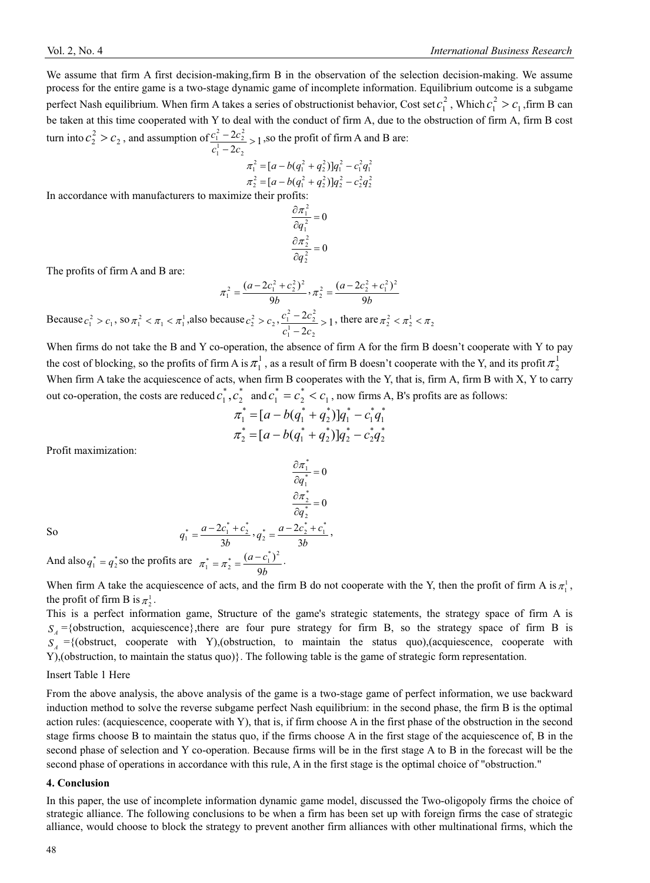We assume that firm A first decision-making,firm B in the observation of the selection decision-making. We assume process for the entire game is a two-stage dynamic game of incomplete information. Equilibrium outcome is a subgame perfect Nash equilibrium. When firm A takes a series of obstructionist behavior, Cost set  $c_1^2$ , Which  $c_1^2 > c_1$ , firm B can be taken at this time cooperated with Y to deal with the conduct of firm A, due to the obstruction of firm A, firm B cost turn into  $c_2^2 > c_2$ , and assumption of  $\frac{c_1^2 - 2c_2^2}{c_1^1 - 2c_2} > 1$ 2  $c_1^1-2c_2$  $\frac{c_1^2 - 2c_2^2}{c_1^1 - 2c_2}$  $c_1^1 - 2c$  $\frac{c_1^2 - 2c_2^2}{2}$  > 1, so the profit of firm A and B are:

$$
\pi_1^2 = [a - b(q_1^2 + q_2^2)]q_1^2 - c_1^2 q_1^2
$$
  

$$
\pi_2^2 = [a - b(q_1^2 + q_2^2)]q_2^2 - c_2^2 q_2^2
$$

In accordance with manufacturers to maximize their profits:

$$
\frac{\partial \pi_1^2}{\partial q_1^2} = 0
$$

$$
\frac{\partial \pi_2^2}{\partial q_2^2} = 0
$$

The profits of firm A and B are:

$$
\pi_1^2 = \frac{(a - 2c_1^2 + c_2^2)^2}{9b}, \pi_2^2 = \frac{(a - 2c_2^2 + c_1^2)^2}{9b}
$$

Because  $c_1^2 > c_1$ , so  $\pi_1^2 < \pi_1 < \pi_1^1$ , also because  $c_2^2 > c_2$ ,  $\frac{c_1 - 2c_2}{c_1^1 - 2c_2} > 1$ 2  $c_1^1-2c_2$  $\frac{c_1^2 - 2c_2^2}{c_1^1 - 2c_2}$  $c_1^1 - 2c$  $\frac{c_1^2 - 2c_2^2}{1}$  > 1, there are  $\pi_2^2 < \pi_2^1 < \pi_2$ 

When firms do not take the B and Y co-operation, the absence of firm A for the firm B doesn't cooperate with Y to pay the cost of blocking, so the profits of firm A is  $\pi_1^1$ , as a result of firm B doesn't cooperate with the Y, and its profit  $\pi_2^1$ When firm A take the acquiescence of acts, when firm B cooperates with the Y, that is, firm A, firm B with X, Y to carry out co-operation, the costs are reduced  $c_1^*, c_2^*$  $c_1^*, c_2^*$  and  $c_1^* = c_2^* < c_1$ 2  $c_1^* = c_2^* < c_1$ , now firms A, B's profits are as follows:

$$
\pi_1^* = [a - b(q_1^* + q_2^*)]q_1^* - c_1^*q_1^*
$$
  

$$
\pi_2^* = [a - b(q_1^* + q_2^*)]q_2^* - c_2^*q_2^*
$$

\*

Profit maximization:

$$
\frac{\partial \pi_1^*}{\partial q_1^*} = 0
$$

$$
\frac{\partial \pi_2^*}{\partial q_2^*} = 0
$$

$$
q_1^* = \frac{a - 2c_1^* + c_2^*}{3b}, q_2^* = \frac{a - 2c_2^* + c_1^*}{3b},
$$

So

And also  $q_1^* = q_2^*$  so the profits are  $\pi_1^* = \pi_2^* = \frac{(a-c_1)^2}{9b_1^*}$  $a - c$ 9  $\pi_1^* = \pi_2^* = \frac{(a - c_1^*)^2}{2!}$ 

When firm A take the acquiescence of acts, and the firm B do not cooperate with the Y, then the profit of firm A is  $\pi_1^1$ , the profit of firm B is  $\pi$ <sup>1</sup>.

This is a perfect information game, Structure of the game's strategic statements, the strategy space of firm A is  $S_A$  ={obstruction, acquiescence},there are four pure strategy for firm B, so the strategy space of firm B is  $S_A = \{$ (obstruct, cooperate with Y), (obstruction, to maintain the status quo), (acquiescence, cooperate with Y),(obstruction, to maintain the status quo)}. The following table is the game of strategic form representation.

### Insert Table 1 Here

From the above analysis, the above analysis of the game is a two-stage game of perfect information, we use backward induction method to solve the reverse subgame perfect Nash equilibrium: in the second phase, the firm B is the optimal action rules: (acquiescence, cooperate with Y), that is, if firm choose A in the first phase of the obstruction in the second stage firms choose B to maintain the status quo, if the firms choose A in the first stage of the acquiescence of, B in the second phase of selection and Y co-operation. Because firms will be in the first stage A to B in the forecast will be the second phase of operations in accordance with this rule, A in the first stage is the optimal choice of "obstruction."

#### **4. Conclusion**

In this paper, the use of incomplete information dynamic game model, discussed the Two-oligopoly firms the choice of strategic alliance. The following conclusions to be when a firm has been set up with foreign firms the case of strategic alliance, would choose to block the strategy to prevent another firm alliances with other multinational firms, which the